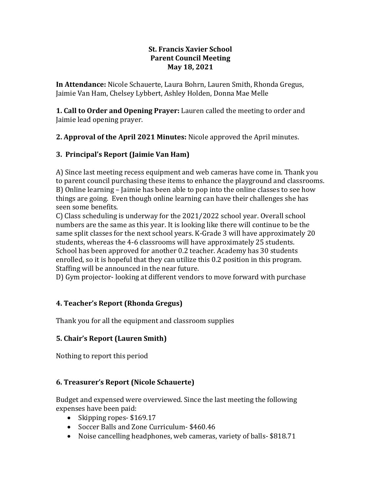### **St. Francis Xavier School Parent Council Meeting May 18, 2021**

**In Attendance:** Nicole Schauerte, Laura Bohrn, Lauren Smith, Rhonda Gregus, Jaimie Van Ham, Chelsey Lybbert, Ashley Holden, Donna Mae Melle

**1. Call to Order and Opening Prayer:** Lauren called the meeting to order and Jaimie lead opening prayer.

**2. Approval of the April 2021 Minutes:** Nicole approved the April minutes.

# **3. Principal's Report (Jaimie Van Ham)**

A) Since last meeting recess equipment and web cameras have come in. Thank you to parent council purchasing these items to enhance the playground and classrooms. B) Online learning – Jaimie has been able to pop into the online classes to see how things are going. Even though online learning can have their challenges she has seen some benefits.

C) Class scheduling is underway for the 2021/2022 school year. Overall school numbers are the same as this year. It is looking like there will continue to be the same split classes for the next school years. K-Grade 3 will have approximately 20 students, whereas the 4-6 classrooms will have approximately 25 students. School has been approved for another 0.2 teacher. Academy has 30 students enrolled, so it is hopeful that they can utilize this 0.2 position in this program. Staffing will be announced in the near future.

D) Gym projector- looking at different vendors to move forward with purchase

# **4. Teacher's Report (Rhonda Gregus)**

Thank you for all the equipment and classroom supplies

# **5. Chair's Report (Lauren Smith)**

Nothing to report this period

# **6. Treasurer's Report (Nicole Schauerte)**

Budget and expensed were overviewed. Since the last meeting the following expenses have been paid:

- Skipping ropes- \$169.17
- Soccer Balls and Zone Curriculum- \$460.46
- Noise cancelling headphones, web cameras, variety of balls- \$818.71